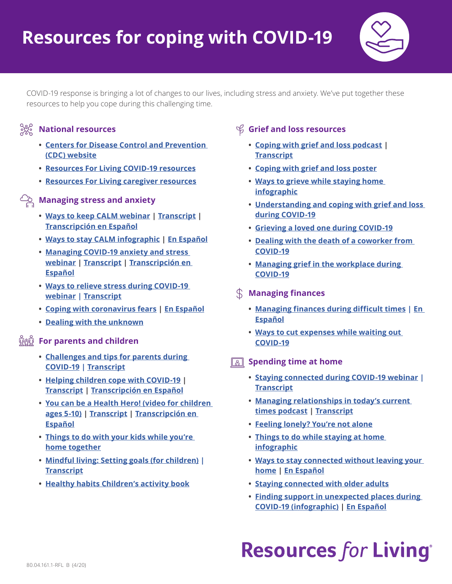

COVID-19 response is bringing a lot of changes to our lives, including stress and anxiety. We've put together these resources to help you cope during this challenging time.

### **National resources**

- **• [Centers for Disease Control and Prevention](https://www.cdc.gov/coronavirus/index.html)  [\(CDC\) website](https://www.cdc.gov/coronavirus/index.html)**
- **• [Resources For Living COVID-19 resources](https://www.resourcesforliving.com/media/pdf/Current-National-Events/CoronavirusResources.pdf)**
- **• [Resources For Living caregiver resources](https://www.resourcesforliving.com/media/pdf/Current-National-Events/COVID19_CaregiverResources.pdf)**
- **Managing stress and anxiety**
	- **• [Ways to keep CALM webinar](http://www.promoinfotools.com/Communications/Webinars/RFLWebinarWebPages/CoronavirusFearsWaysToKeepCalmCC.html) | [Transcript](http://www.promoinfotools.com/Communications/Webinars/RFLWebinarWebPages/CoronavirusFearsWaysToKeepCalmTranscript.pdf) | [Transcripción en Español](http://www.promoinfotools.com/Communications/Webinars/RFLWebinarWebPages/CoronavirusFearsWaysToKeepCalmTranscript_ES.pdf)**
	- **• [Ways to stay CALM infographic](http://www.promoinfotools.com/Communications/ecard/Svcs/Wellness/WaysToStayCalm_RFL.pdf) | [En Español](http://www.promoinfotools.com/Communications/ecard/Svcs/Wellness/WaysToStayCALMInfographic_RFL_ES.pdf)**
	- **• [Managing COVID-19 anxiety and stress](http://www.promoinfotools.com/Communications/Webinars/RFLWebinarWebPages/ManagingCOVID-19Anxiety.html)  [webinar](http://www.promoinfotools.com/Communications/Webinars/RFLWebinarWebPages/ManagingCOVID-19Anxiety.html) | [Transcript](http://www.promoinfotools.com/Communications/Webinars/RFLWebinarWebPages/ManagingCOVID-19AnxietyTranscript.pdf) | Transcripción en Español**
	- **• [Ways to relieve stress during COVID-19](http://www.promoinfotools.com/Communications/Webinars/RFLWebinarWebPages/COVID19ManagingStress.html)  [webinar](http://www.promoinfotools.com/Communications/Webinars/RFLWebinarWebPages/COVID19ManagingStress.html) | [Transcript](http://www.promoinfotools.com/Communications/Webinars/RFLWebinarWebPages/COVID19ManagingStressTranscript.pdf)**
	- **• [Coping with coronavirus fears](http://www.promoinfotools.com/Communications/ecard/Svcs/Wellness/CopingWithCoronavirus_RFL.pdf) | [En Español](http://www.promoinfotools.com/Communications/ecard/Svcs/Wellness/CopingWithCOVID-19_ES_RFL.pdf)**
	- **• [Dealing with the unknown](http://www.promoinfotools.com/Communications/ecard/Svcs/Wellness/DealingWithUnknownAfterACrisis-COVID-19_RFL.pdf)**

### **For parents and children**

- **• [Challenges and tips for parents during](http://www.promoinfotools.com/Communications/Webinars/RFLWebinarWebPages/COVID19Parenting.html)  [COVID-19](http://www.promoinfotools.com/Communications/Webinars/RFLWebinarWebPages/COVID19Parenting.html) | [Transcript](http://www.promoinfotools.com/Communications/Webinars/RFLWebinarWebPages/COVID19ParentingTranscript.pdf)**
- **• [Helping children cope with COVID-19](http://www.promoinfotools.com/Communications/Webinars/RFLWebVideoResourcePages/HelpingChildrenCopeWithCOVID-19.html) | [Transcript](http://www.promoinfotools.com/Communications/Webinars/RFLWebVideoResourcePages/HelpingChildrenCopeWithCOVID-19Transcript.pdf) | [Transcripción en Español](http://www.promoinfotools.com/Communications/Webinars/RFLWebVideoResourcePages/HelpingChildrenCopeWithCOVID-19Transcript_ES.pdf)**
- **• [You can be a Health Hero! \(video for children](http://www.promoinfotools.com/Communications/Webinars/RFLWebVideoResourcePages/YouCanBeAHealthHero.html)  [ages 5-10\)](http://www.promoinfotools.com/Communications/Webinars/RFLWebVideoResourcePages/YouCanBeAHealthHero.html) | [Transcript](http://www.promoinfotools.com/Communications/Webinars/RFLWebVideoResourcePages/HelpingChildrenCopeWithCOVID-19Transcript.pdf) | [Transcripción en](http://www.promoinfotools.com/Communications/Webinars/RFLWebVideoResourcePages/YouCanBeAHealthHeroTranscript_ES.pdf)  [Español](http://www.promoinfotools.com/Communications/Webinars/RFLWebVideoResourcePages/YouCanBeAHealthHeroTranscript_ES.pdf)**
- **• [Things to do with your kids while you're](http://www.promoinfotools.com/Communications/ecard/Svcs/Wellness/ThingsToDoWithYourKidsWhileYou)  [home together](http://www.promoinfotools.com/Communications/ecard/Svcs/Wellness/ThingsToDoWithYourKidsWhileYou)**
- **• [Mindful living: Setting goals \(for children\)](http://www.promoinfotools.com/Communications/Webinars/RFLWebVideoResourcePages/MindfulLiving-Kids01.html) | [Transcript](http://www.promoinfotools.com/Communications/Webinars/RFLWebVideoResourcePages/MindfulLiving-Kids01Transcript.pdf)**
- **• [Healthy habits Children's activity book](http://www.promoinfotools.com/Communications/ecard/Svcs/Wellness/Healthy-Habits-Childrens-Activity-Book.pdf)**

## **Grief and loss resources**

- **• [Coping with grief and loss podcast](http://promoinfotools.com/Communications/Podcast/CopingWithLoss.mp3) | [Transcript](http://promoinfotools.com/Communications/Podcast/CopingWithLossTranscript.pdf)**
- **• [Coping with grief and loss poster](http://www.promoinfotools.com/Communications/ecard/Svcs/Wellness/Grief-and-loss-poster.pdf)**
- **• [Ways to grieve while staying home](http://www.promoinfotools.com/Communications/ecard/Svcs/Wellness/WaysToGrieveWhileStayingHome_RFL.pdf)  [infographic](http://www.promoinfotools.com/Communications/ecard/Svcs/Wellness/WaysToGrieveWhileStayingHome_RFL.pdf)**
- **• [Understanding and coping with grief and loss](http://www.promoinfotools.com/Communications/ecard/Svcs/Wellness/GriefFromCOVID19_Guidebook_RFL.pdf)  [during COVID-19](http://www.promoinfotools.com/Communications/ecard/Svcs/Wellness/GriefFromCOVID19_Guidebook_RFL.pdf)**
- **• [Grieving a loved one during COVID-19](http://www.promoinfotools.com/Communications/ecard/Svcs/Wellness/GrievingALovedOneDuringCOVID19-RFL.pdf)**
- **• [Dealing with the death of a coworker from](https://www.promoinfotools.com/Communications/ecard/Svcs/Wellness/DealingWithTheDeathOfACoworker_COVID-19_RFL.pdf)  [COVID-19](https://www.promoinfotools.com/Communications/ecard/Svcs/Wellness/DealingWithTheDeathOfACoworker_COVID-19_RFL.pdf)**
- **• [Managing grief in the workplace during](https://www.promoinfotools.com/Communications/ecard/Svcs/Wellness/ManagingGriefInTheWorkplaceGuidebook-COVID-19_RFL.pdf)  [COVID-19](https://www.promoinfotools.com/Communications/ecard/Svcs/Wellness/ManagingGriefInTheWorkplaceGuidebook-COVID-19_RFL.pdf)**
- **Managing finances**
	- **• [Managing finances during difficult times](http://www.promoinfotools.com/Communications/ecard/Svcs/Wellness/ManagingFinancesInDifficultTimes.pdf) | [En](http://www.promoinfotools.com/Communications/ecard/Svcs/Wellness/ManagingFinancesInDifficultTimes_ES.pdf)  [Español](http://www.promoinfotools.com/Communications/ecard/Svcs/Wellness/ManagingFinancesInDifficultTimes_ES.pdf)**
	- **• [Ways to cut expenses while waiting out](http://www.promoinfotools.com/Communications/ecard/Svcs/Wellness/WaysToCutExpensesWhileWaitingOutCovid-19_RFL.pdf)  [COVID-19](http://www.promoinfotools.com/Communications/ecard/Svcs/Wellness/WaysToCutExpensesWhileWaitingOutCovid-19_RFL.pdf)**
- **Spending time at home** 
	- **• [Staying connected during COVID-19 webinar](http://promoinfotools.com/Communications/Webinars/RFLWebinarWebPages/COVID19StayingConnected.html) | [Transcript](http://promoinfotools.com/Communications/Webinars/RFLWebinarWebPages/COVID19StayingConnectedTranscript.pdf)**
	- **• [Managing relationships in today's current](http://www.promoinfotools.com/Communications/Podcast/ManagingRelationshipsInTodaysCurrentTimes.mp3)  [times podcast](http://www.promoinfotools.com/Communications/Podcast/ManagingRelationshipsInTodaysCurrentTimes.mp3) | [Transcript](http://www.promoinfotools.com/Communications/Podcast/ManagingRelationshipsInTodaysCurrentTimesTranscript.pdf)**
	- **• [Feeling lonely? You're not alone](http://www.promoinfotools.com/Communications/ecard/Svcs/Wellness/FeelingLonely_RFL.pdf)**
	- **• [Things to do while staying at home](http://www.promoinfotools.com/Communications/ecard/Svcs/Wellness/ThingsToDoWhenInside_RFL.pdf)  [infographic](http://www.promoinfotools.com/Communications/ecard/Svcs/Wellness/ThingsToDoWhenInside_RFL.pdf)**
	- **• [Ways to stay connected without leaving your](http://www.promoinfotools.com/Communications/ecard/Svcs/Wellness/WaysToConnectWithoutLeavingYourHome_RFL.pdf)  [home](http://www.promoinfotools.com/Communications/ecard/Svcs/Wellness/WaysToConnectWithoutLeavingYourHome_RFL.pdf) | [En Español](http://www.promoinfotools.com/Communications/ecard/Svcs/Wellness/WaysToConnectWithoutLeavingYourHome_ES_RFL.pdf)**
	- **• [Staying connected with older adults](http://www.promoinfotools.com/Communications/ecard/Svcs/Wellness/StayingConnectedWithOlderAdultsRFL.pdf)**
	- **• [Finding support in unexpected places during](http://www.promoinfotools.com/Communications/ecard/Svcs/Wellness/FindSupportInUnexpectedPlaces_COVID-19_RFL.pdf)  [COVID-19 \(infographic\)](http://www.promoinfotools.com/Communications/ecard/Svcs/Wellness/FindSupportInUnexpectedPlaces_COVID-19_RFL.pdf) | [En Español](http://www.promoinfotools.com/Communications/ecard/Svcs/Wellness/FindSupportInUnexpectedPlaces_COVID-19_RFL_ES.pdf)**

# **Resources for Living®**